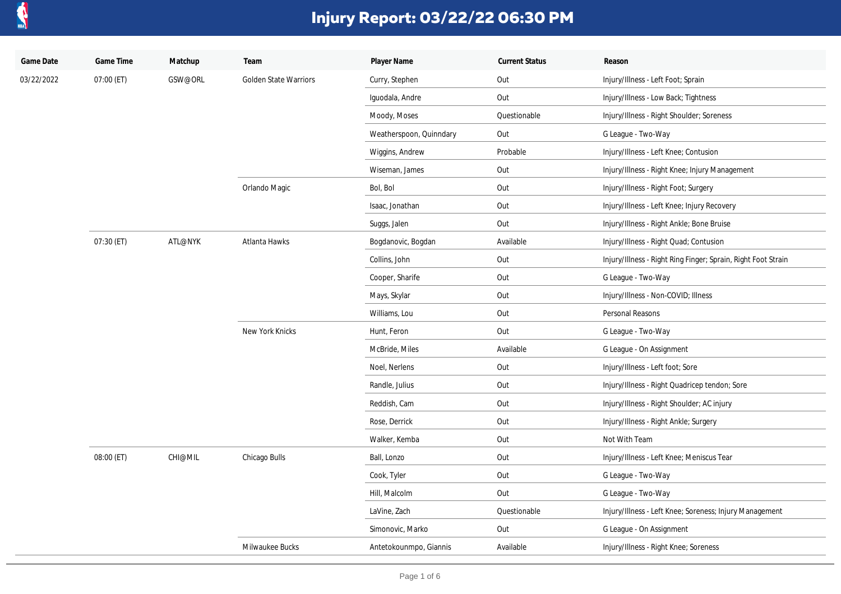

| Game Date  | Game Time  | Matchup | Team                         | Player Name             | <b>Current Status</b> | Reason                                                        |
|------------|------------|---------|------------------------------|-------------------------|-----------------------|---------------------------------------------------------------|
| 03/22/2022 | 07:00 (ET) | GSW@ORL | <b>Golden State Warriors</b> | Curry, Stephen          | Out                   | Injury/Illness - Left Foot; Sprain                            |
|            |            |         |                              | Iguodala, Andre         | Out                   | Injury/Illness - Low Back; Tightness                          |
|            |            |         |                              | Moody, Moses            | Questionable          | Injury/Illness - Right Shoulder; Soreness                     |
|            |            |         |                              | Weatherspoon, Quinndary | Out                   | G League - Two-Way                                            |
|            |            |         |                              | Wiggins, Andrew         | Probable              | Injury/Illness - Left Knee; Contusion                         |
|            |            |         |                              | Wiseman, James          | Out                   | Injury/Illness - Right Knee; Injury Management                |
|            |            |         | Orlando Magic                | Bol, Bol                | Out                   | Injury/Illness - Right Foot; Surgery                          |
|            |            |         |                              | Isaac, Jonathan         | Out                   | Injury/Illness - Left Knee; Injury Recovery                   |
|            |            |         |                              | Suggs, Jalen            | Out                   | Injury/Illness - Right Ankle; Bone Bruise                     |
|            | 07:30 (ET) | ATL@NYK | Atlanta Hawks                | Bogdanovic, Bogdan      | Available             | Injury/Illness - Right Quad; Contusion                        |
|            |            |         |                              | Collins, John           | Out                   | Injury/Illness - Right Ring Finger; Sprain, Right Foot Strain |
|            |            |         |                              | Cooper, Sharife         | Out                   | G League - Two-Way                                            |
|            |            |         |                              | Mays, Skylar            | Out                   | Injury/Illness - Non-COVID; Illness                           |
|            |            |         |                              | Williams, Lou           | Out                   | Personal Reasons                                              |
|            |            |         | New York Knicks              | Hunt, Feron             | Out                   | G League - Two-Way                                            |
|            |            |         |                              | McBride, Miles          | Available             | G League - On Assignment                                      |
|            |            |         |                              | Noel, Nerlens           | Out                   | Injury/Illness - Left foot; Sore                              |
|            |            |         |                              | Randle, Julius          | Out                   | Injury/Illness - Right Quadricep tendon; Sore                 |
|            |            |         |                              | Reddish, Cam            | Out                   | Injury/Illness - Right Shoulder; AC injury                    |
|            |            |         |                              | Rose, Derrick           | Out                   | Injury/Illness - Right Ankle; Surgery                         |
|            |            |         |                              | Walker, Kemba           | Out                   | Not With Team                                                 |
|            | 08:00 (ET) | CHI@MIL | Chicago Bulls                | Ball, Lonzo             | Out                   | Injury/Illness - Left Knee; Meniscus Tear                     |
|            |            |         |                              | Cook, Tyler             | Out                   | G League - Two-Way                                            |
|            |            |         |                              | Hill, Malcolm           | Out                   | G League - Two-Way                                            |
|            |            |         |                              | LaVine, Zach            | Questionable          | Injury/Illness - Left Knee; Soreness; Injury Management       |
|            |            |         |                              | Simonovic, Marko        | Out                   | G League - On Assignment                                      |
|            |            |         | Milwaukee Bucks              | Antetokounmpo, Giannis  | Available             | Injury/Illness - Right Knee; Soreness                         |
|            |            |         |                              |                         |                       |                                                               |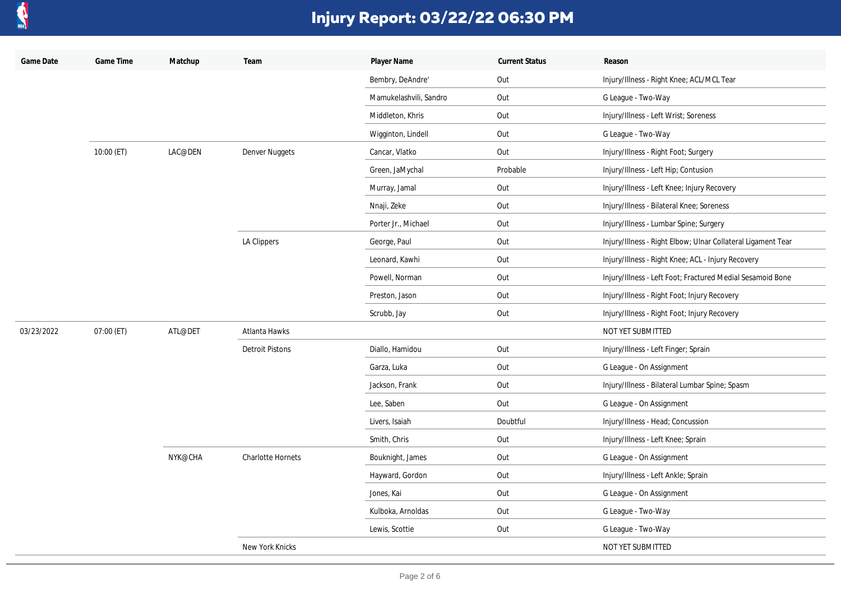

| Game Date  | Game Time  | Matchup | Team                     | Player Name            | <b>Current Status</b> | Reason                                                       |
|------------|------------|---------|--------------------------|------------------------|-----------------------|--------------------------------------------------------------|
|            |            |         |                          | Bembry, DeAndre'       | Out                   | Injury/Illness - Right Knee; ACL/MCL Tear                    |
|            |            |         |                          | Mamukelashvili, Sandro | Out                   | G League - Two-Way                                           |
|            |            |         |                          | Middleton, Khris       | Out                   | Injury/Illness - Left Wrist; Soreness                        |
|            |            |         |                          | Wigginton, Lindell     | Out                   | G League - Two-Way                                           |
|            | 10:00 (ET) | LAC@DEN | Denver Nuggets           | Cancar, Vlatko         | Out                   | Injury/Illness - Right Foot; Surgery                         |
|            |            |         |                          | Green, JaMychal        | Probable              | Injury/Illness - Left Hip; Contusion                         |
|            |            |         |                          | Murray, Jamal          | Out                   | Injury/Illness - Left Knee; Injury Recovery                  |
|            |            |         |                          | Nnaji, Zeke            | Out                   | Injury/Illness - Bilateral Knee; Soreness                    |
|            |            |         |                          | Porter Jr., Michael    | Out                   | Injury/Illness - Lumbar Spine; Surgery                       |
|            |            |         | LA Clippers              | George, Paul           | Out                   | Injury/Illness - Right Elbow; Ulnar Collateral Ligament Tear |
|            |            |         |                          | Leonard, Kawhi         | Out                   | Injury/Illness - Right Knee; ACL - Injury Recovery           |
|            |            |         |                          | Powell, Norman         | Out                   | Injury/Illness - Left Foot; Fractured Medial Sesamoid Bone   |
|            |            |         |                          | Preston, Jason         | Out                   | Injury/Illness - Right Foot; Injury Recovery                 |
|            |            |         |                          | Scrubb, Jay            | Out                   | Injury/Illness - Right Foot; Injury Recovery                 |
| 03/23/2022 | 07:00 (ET) | ATL@DET | Atlanta Hawks            |                        |                       | NOT YET SUBMITTED                                            |
|            |            |         | <b>Detroit Pistons</b>   | Diallo, Hamidou        | Out                   | Injury/Illness - Left Finger; Sprain                         |
|            |            |         |                          | Garza, Luka            | Out                   | G League - On Assignment                                     |
|            |            |         |                          | Jackson, Frank         | Out                   | Injury/Illness - Bilateral Lumbar Spine; Spasm               |
|            |            |         |                          | Lee, Saben             | Out                   | G League - On Assignment                                     |
|            |            |         |                          | Livers, Isaiah         | Doubtful              | Injury/Illness - Head; Concussion                            |
|            |            |         |                          | Smith, Chris           | Out                   | Injury/Illness - Left Knee; Sprain                           |
|            |            | NYK@CHA | <b>Charlotte Hornets</b> | Bouknight, James       | Out                   | G League - On Assignment                                     |
|            |            |         |                          | Hayward, Gordon        | Out                   | Injury/Illness - Left Ankle; Sprain                          |
|            |            |         |                          | Jones, Kai             | Out                   | G League - On Assignment                                     |
|            |            |         |                          | Kulboka, Arnoldas      | Out                   | G League - Two-Way                                           |
|            |            |         |                          | Lewis, Scottie         | Out                   | G League - Two-Way                                           |
|            |            |         | New York Knicks          |                        |                       | NOT YET SUBMITTED                                            |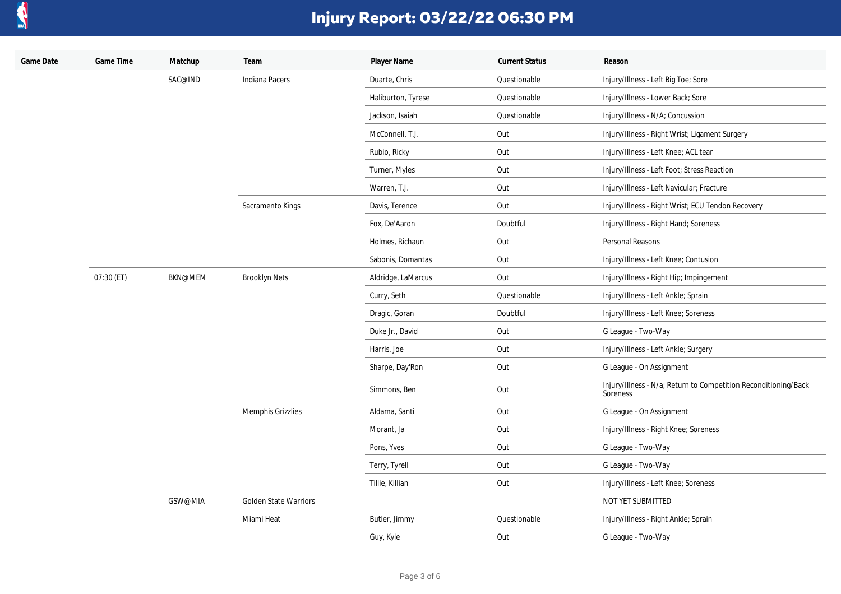

| Game Date | Game Time  | Matchup        | Team                         | Player Name        | <b>Current Status</b> | Reason                                                                      |
|-----------|------------|----------------|------------------------------|--------------------|-----------------------|-----------------------------------------------------------------------------|
|           |            | SAC@IND        | Indiana Pacers               | Duarte, Chris      | Questionable          | Injury/Illness - Left Big Toe; Sore                                         |
|           |            |                |                              | Haliburton, Tyrese | Questionable          | Injury/Illness - Lower Back; Sore                                           |
|           |            |                |                              | Jackson, Isaiah    | Questionable          | Injury/Illness - N/A; Concussion                                            |
|           |            |                |                              | McConnell, T.J.    | Out                   | Injury/Illness - Right Wrist; Ligament Surgery                              |
|           |            |                |                              | Rubio, Ricky       | Out                   | Injury/Illness - Left Knee; ACL tear                                        |
|           |            |                |                              | Turner, Myles      | Out                   | Injury/Illness - Left Foot; Stress Reaction                                 |
|           |            |                |                              | Warren, T.J.       | Out                   | Injury/Illness - Left Navicular; Fracture                                   |
|           |            |                | Sacramento Kings             | Davis, Terence     | Out                   | Injury/Illness - Right Wrist; ECU Tendon Recovery                           |
|           |            |                |                              | Fox, De'Aaron      | Doubtful              | Injury/Illness - Right Hand; Soreness                                       |
|           |            |                |                              | Holmes, Richaun    | Out                   | Personal Reasons                                                            |
|           |            |                |                              | Sabonis, Domantas  | Out                   | Injury/Illness - Left Knee; Contusion                                       |
|           | 07:30 (ET) | <b>BKN@MEM</b> | <b>Brooklyn Nets</b>         | Aldridge, LaMarcus | Out                   | Injury/Illness - Right Hip; Impingement                                     |
|           |            |                |                              | Curry, Seth        | Questionable          | Injury/Illness - Left Ankle; Sprain                                         |
|           |            |                |                              | Dragic, Goran      | Doubtful              | Injury/Illness - Left Knee; Soreness                                        |
|           |            |                |                              | Duke Jr., David    | Out                   | G League - Two-Way                                                          |
|           |            |                |                              | Harris, Joe        | Out                   | Injury/Illness - Left Ankle; Surgery                                        |
|           |            |                |                              | Sharpe, Day'Ron    | Out                   | G League - On Assignment                                                    |
|           |            |                |                              | Simmons, Ben       | Out                   | Injury/Illness - N/a; Return to Competition Reconditioning/Back<br>Soreness |
|           |            |                | <b>Memphis Grizzlies</b>     | Aldama, Santi      | Out                   | G League - On Assignment                                                    |
|           |            |                |                              | Morant, Ja         | Out                   | Injury/Illness - Right Knee; Soreness                                       |
|           |            |                |                              | Pons, Yves         | Out                   | G League - Two-Way                                                          |
|           |            |                |                              | Terry, Tyrell      | Out                   | G League - Two-Way                                                          |
|           |            |                |                              | Tillie, Killian    | Out                   | Injury/Illness - Left Knee; Soreness                                        |
|           |            | GSW@MIA        | <b>Golden State Warriors</b> |                    |                       | NOT YET SUBMITTED                                                           |
|           |            |                | Miami Heat                   | Butler, Jimmy      | Questionable          | Injury/Illness - Right Ankle; Sprain                                        |
|           |            |                |                              | Guy, Kyle          | Out                   | G League - Two-Way                                                          |
|           |            |                |                              |                    |                       |                                                                             |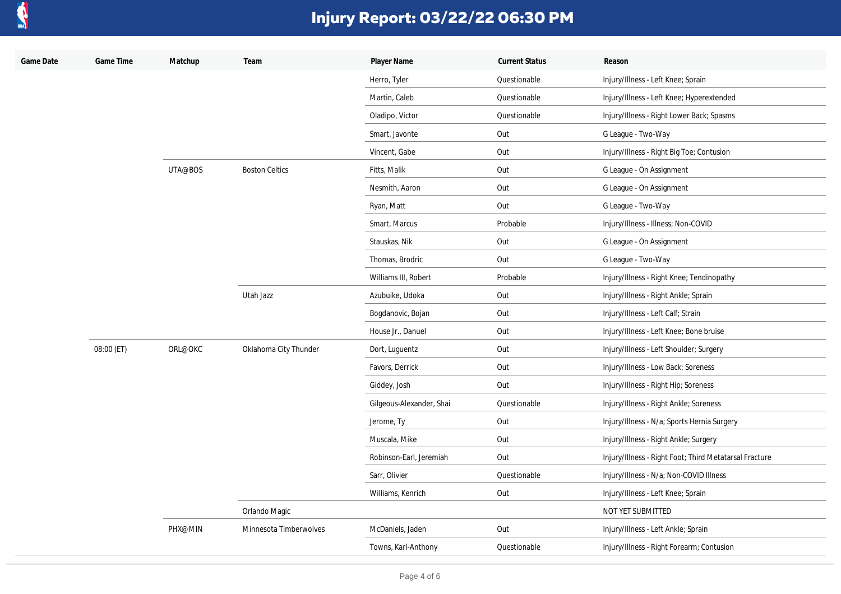

| Game Date | Game Time  | Matchup | Team                   | Player Name              | <b>Current Status</b> | Reason                                                 |
|-----------|------------|---------|------------------------|--------------------------|-----------------------|--------------------------------------------------------|
|           |            |         |                        | Herro, Tyler             | Questionable          | Injury/Illness - Left Knee; Sprain                     |
|           |            |         |                        | Martin, Caleb            | Questionable          | Injury/Illness - Left Knee; Hyperextended              |
|           |            |         |                        | Oladipo, Victor          | Questionable          | Injury/Illness - Right Lower Back; Spasms              |
|           |            |         |                        | Smart, Javonte           | Out                   | G League - Two-Way                                     |
|           |            |         |                        | Vincent, Gabe            | Out                   | Injury/Illness - Right Big Toe; Contusion              |
|           |            | UTA@BOS | <b>Boston Celtics</b>  | Fitts, Malik             | Out                   | G League - On Assignment                               |
|           |            |         |                        | Nesmith, Aaron           | Out                   | G League - On Assignment                               |
|           |            |         |                        | Ryan, Matt               | Out                   | G League - Two-Way                                     |
|           |            |         |                        | Smart, Marcus            | Probable              | Injury/Illness - Illness; Non-COVID                    |
|           |            |         |                        | Stauskas, Nik            | Out                   | G League - On Assignment                               |
|           |            |         |                        | Thomas, Brodric          | Out                   | G League - Two-Way                                     |
|           |            |         |                        | Williams III, Robert     | Probable              | Injury/Illness - Right Knee; Tendinopathy              |
|           |            |         | Utah Jazz              | Azubuike, Udoka          | Out                   | Injury/Illness - Right Ankle; Sprain                   |
|           |            |         |                        | Bogdanovic, Bojan        | Out                   | Injury/Illness - Left Calf; Strain                     |
|           |            |         |                        | House Jr., Danuel        | Out                   | Injury/Illness - Left Knee; Bone bruise                |
|           | 08:00 (ET) | ORL@OKC | Oklahoma City Thunder  | Dort, Luquentz           | Out                   | Injury/Illness - Left Shoulder; Surgery                |
|           |            |         |                        | Favors, Derrick          | Out                   | Injury/Illness - Low Back; Soreness                    |
|           |            |         |                        | Giddey, Josh             | Out                   | Injury/Illness - Right Hip; Soreness                   |
|           |            |         |                        | Gilgeous-Alexander, Shai | Questionable          | Injury/Illness - Right Ankle; Soreness                 |
|           |            |         |                        | Jerome, Ty               | Out                   | Injury/Illness - N/a; Sports Hernia Surgery            |
|           |            |         |                        | Muscala, Mike            | Out                   | Injury/Illness - Right Ankle; Surgery                  |
|           |            |         |                        | Robinson-Earl, Jeremiah  | Out                   | Injury/Illness - Right Foot; Third Metatarsal Fracture |
|           |            |         |                        | Sarr, Olivier            | Questionable          | Injury/Illness - N/a; Non-COVID Illness                |
|           |            |         |                        | Williams, Kenrich        | Out                   | Injury/Illness - Left Knee; Sprain                     |
|           |            |         | Orlando Magic          |                          |                       | NOT YET SUBMITTED                                      |
|           |            | PHX@MIN | Minnesota Timberwolves | McDaniels, Jaden         | Out                   | Injury/Illness - Left Ankle; Sprain                    |
|           |            |         |                        | Towns, Karl-Anthony      | Questionable          | Injury/Illness - Right Forearm; Contusion              |
|           |            |         |                        |                          |                       |                                                        |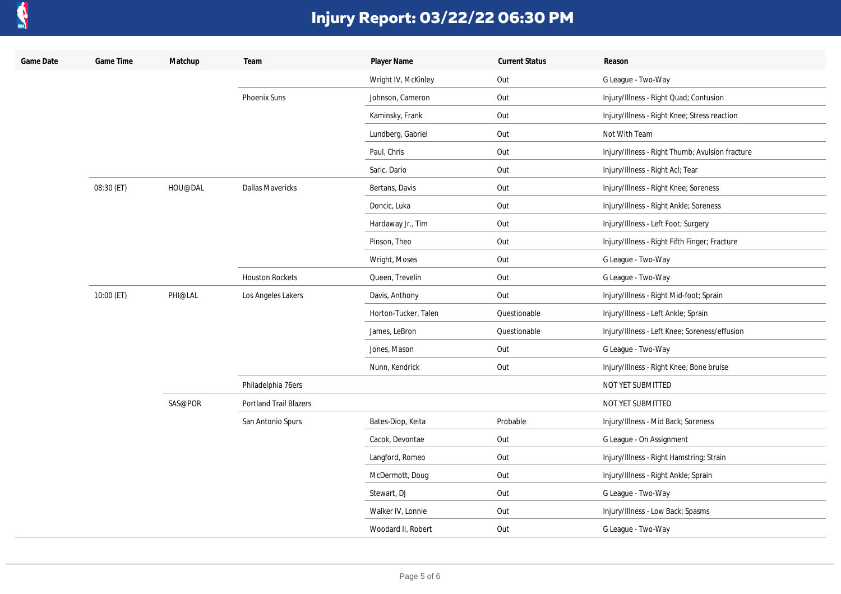

| Game Date | Game Time  | Matchup | Team                          | Player Name          | <b>Current Status</b> | Reason                                          |
|-----------|------------|---------|-------------------------------|----------------------|-----------------------|-------------------------------------------------|
|           |            |         |                               | Wright IV, McKinley  | Out                   | G League - Two-Way                              |
|           |            |         | <b>Phoenix Suns</b>           | Johnson, Cameron     | Out                   | Injury/Illness - Right Quad; Contusion          |
|           |            |         |                               | Kaminsky, Frank      | Out                   | Injury/Illness - Right Knee; Stress reaction    |
|           |            |         |                               | Lundberg, Gabriel    | Out                   | Not With Team                                   |
|           |            |         |                               | Paul, Chris          | Out                   | Injury/Illness - Right Thumb; Avulsion fracture |
|           |            |         |                               | Saric, Dario         | Out                   | Injury/Illness - Right Acl; Tear                |
|           | 08:30 (ET) | HOU@DAL | <b>Dallas Mavericks</b>       | Bertans, Davis       | Out                   | Injury/Illness - Right Knee; Soreness           |
|           |            |         |                               | Doncic, Luka         | Out                   | Injury/Illness - Right Ankle; Soreness          |
|           |            |         |                               | Hardaway Jr., Tim    | Out                   | Injury/Illness - Left Foot; Surgery             |
|           |            |         |                               | Pinson, Theo         | Out                   | Injury/Illness - Right Fifth Finger; Fracture   |
|           |            |         |                               | Wright, Moses        | Out                   | G League - Two-Way                              |
|           |            |         | <b>Houston Rockets</b>        | Queen, Trevelin      | Out                   | G League - Two-Way                              |
|           | 10:00 (ET) | PHI@LAL | Los Angeles Lakers            | Davis, Anthony       | Out                   | Injury/Illness - Right Mid-foot; Sprain         |
|           |            |         |                               | Horton-Tucker, Talen | Questionable          | Injury/Illness - Left Ankle; Sprain             |
|           |            |         |                               | James, LeBron        | Questionable          | Injury/Illness - Left Knee; Soreness/effusion   |
|           |            |         |                               | Jones, Mason         | Out                   | G League - Two-Way                              |
|           |            |         |                               | Nunn, Kendrick       | Out                   | Injury/Illness - Right Knee; Bone bruise        |
|           |            |         | Philadelphia 76ers            |                      |                       | NOT YET SUBMITTED                               |
|           |            | SAS@POR | <b>Portland Trail Blazers</b> |                      |                       | NOT YET SUBMITTED                               |
|           |            |         | San Antonio Spurs             | Bates-Diop, Keita    | Probable              | Injury/Illness - Mid Back; Soreness             |
|           |            |         |                               | Cacok, Devontae      | Out                   | G League - On Assignment                        |
|           |            |         |                               | Langford, Romeo      | Out                   | Injury/Illness - Right Hamstring; Strain        |
|           |            |         |                               | McDermott, Doug      | Out                   | Injury/Illness - Right Ankle; Sprain            |
|           |            |         |                               | Stewart, DJ          | Out                   | G League - Two-Way                              |
|           |            |         |                               | Walker IV, Lonnie    | Out                   | Injury/Illness - Low Back; Spasms               |
|           |            |         |                               | Woodard II, Robert   | Out                   | G League - Two-Way                              |
|           |            |         |                               |                      |                       |                                                 |